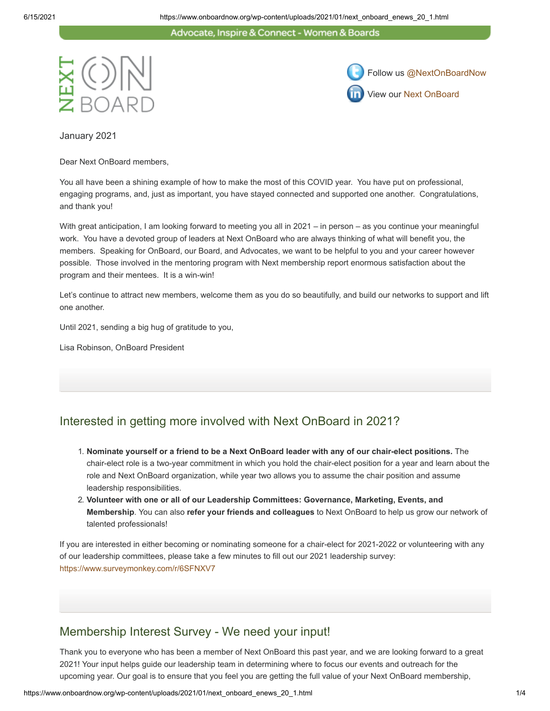Advocate, Inspire & Connect - Women & Boards





January 2021

Dear Next OnBoard members,

You all have been a shining example of how to make the most of this COVID year. You have put on professional, engaging programs, and, just as important, you have stayed connected and supported one another. Congratulations, and thank you!

With great anticipation, I am looking forward to meeting you all in 2021 – in person – as you continue your meaningful work. You have a devoted group of leaders at Next OnBoard who are always thinking of what will benefit you, the members. Speaking for OnBoard, our Board, and Advocates, we want to be helpful to you and your career however possible. Those involved in the mentoring program with Next membership report enormous satisfaction about the program and their mentees. It is a win-win!

Let's continue to attract new members, welcome them as you do so beautifully, and build our networks to support and lift one another.

Until 2021, sending a big hug of gratitude to you,

Lisa Robinson, OnBoard President

### Interested in getting more involved with Next OnBoard in 2021?

- 1. **Nominate yourself or a friend to be a Next OnBoard leader with any of our chair-elect positions.** The chair-elect role is a two-year commitment in which you hold the chair-elect position for a year and learn about the role and Next OnBoard organization, while year two allows you to assume the chair position and assume leadership responsibilities.
- 2. **Volunteer with one or all of our Leadership Committees: Governance, Marketing, Events, and Membership**. You can also **refer your friends and colleagues** to Next OnBoard to help us grow our network of talented professionals!

If you are interested in either becoming or nominating someone for a chair-elect for 2021-2022 or volunteering with any of our leadership committees, please take a few minutes to fill out our 2021 leadership survey: <https://www.surveymonkey.com/r/6SFNXV7>

### Membership Interest Survey - We need your input!

Thank you to everyone who has been a member of Next OnBoard this past year, and we are looking forward to a great 2021! Your input helps guide our leadership team in determining where to focus our events and outreach for the upcoming year. Our goal is to ensure that you feel you are getting the full value of your Next OnBoard membership,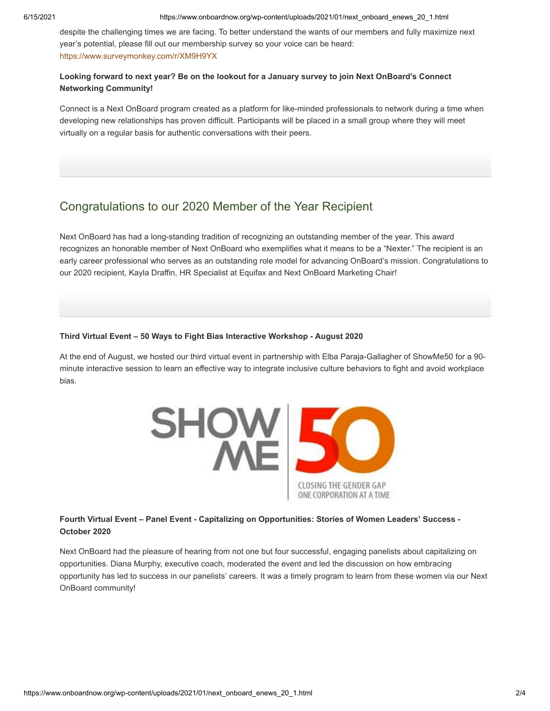despite the challenging times we are facing. To better understand the wants of our members and fully maximize next year's potential, please fill out our membership survey so your voice can be heard: <https://www.surveymonkey.com/r/XM9H9YX>

#### **Looking forward to next year? Be on the lookout for a January survey to join Next OnBoard's Connect Networking Community!**

Connect is a Next OnBoard program created as a platform for like-minded professionals to network during a time when developing new relationships has proven difficult. Participants will be placed in a small group where they will meet virtually on a regular basis for authentic conversations with their peers.

### Congratulations to our 2020 Member of the Year Recipient

Next OnBoard has had a long-standing tradition of recognizing an outstanding member of the year. This award recognizes an honorable member of Next OnBoard who exemplifies what it means to be a "Nexter." The recipient is an early career professional who serves as an outstanding role model for advancing OnBoard's mission. Congratulations to our 2020 recipient, Kayla Draffin, HR Specialist at Equifax and Next OnBoard Marketing Chair!

#### **Third Virtual Event – 50 Ways to Fight Bias Interactive Workshop - August 2020**

At the end of August, we hosted our third virtual event in partnership with Elba Paraja-Gallagher of ShowMe50 for a 90 minute interactive session to learn an effective way to integrate inclusive culture behaviors to fight and avoid workplace bias.



#### **Fourth Virtual Event – Panel Event - Capitalizing on Opportunities: Stories of Women Leaders' Success - October 2020**

Next OnBoard had the pleasure of hearing from not one but four successful, engaging panelists about capitalizing on opportunities. Diana Murphy, executive coach, moderated the event and led the discussion on how embracing opportunity has led to success in our panelists' careers. It was a timely program to learn from these women via our Next OnBoard community!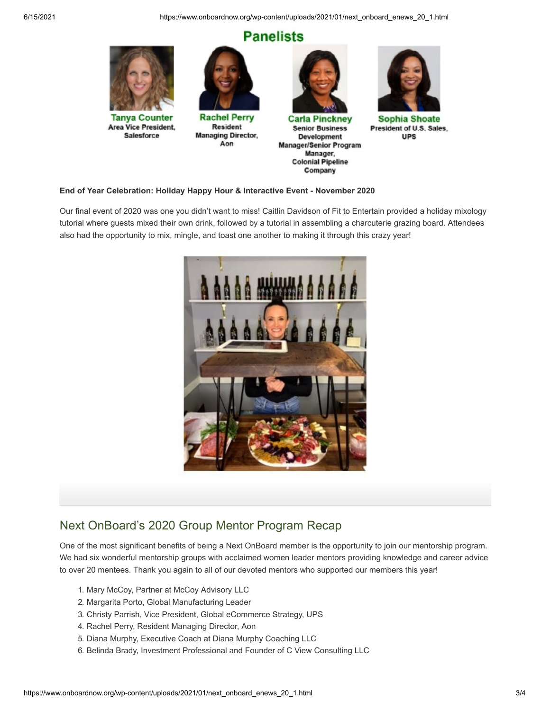6/15/2021 https://www.onboardnow.org/wp-content/uploads/2021/01/next\_onboard\_enews\_20\_1.html

# **Panelists**



#### **End of Year Celebration: Holiday Happy Hour & Interactive Event - November 2020**

Our final event of 2020 was one you didn't want to miss! Caitlin Davidson of Fit to Entertain provided a holiday mixology tutorial where guests mixed their own drink, followed by a tutorial in assembling a charcuterie grazing board. Attendees also had the opportunity to mix, mingle, and toast one another to making it through this crazy year!



### Next OnBoard's 2020 Group Mentor Program Recap

One of the most significant benefits of being a Next OnBoard member is the opportunity to join our mentorship program. We had six wonderful mentorship groups with acclaimed women leader mentors providing knowledge and career advice to over 20 mentees. Thank you again to all of our devoted mentors who supported our members this year!

- 1. Mary McCoy, Partner at McCoy Advisory LLC
- 2. Margarita Porto, Global Manufacturing Leader
- 3. Christy Parrish, Vice President, Global eCommerce Strategy, UPS
- 4. Rachel Perry, Resident Managing Director, Aon
- 5. Diana Murphy, Executive Coach at Diana Murphy Coaching LLC
- 6. Belinda Brady, Investment Professional and Founder of C View Consulting LLC